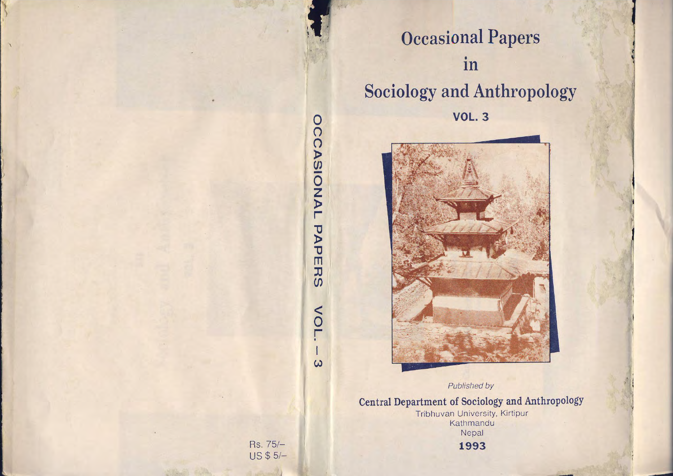

## **Occasional Papers** •**In Sociology and Anthropology** 0 **VOL. <sup>3</sup>**



Published by

**Central Department of Sociology and Anthropology**

Tribhuvan University, Kirtipur Kathmandu Nepal **1993**

Rs.75/- US \$ 5/-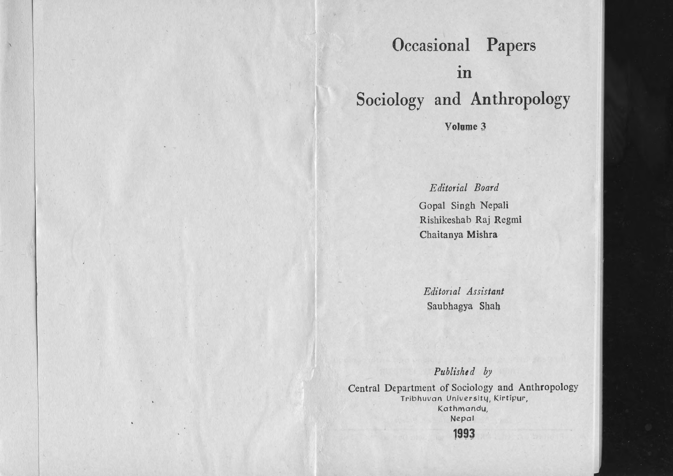## **Occasional Papers** • **In Sociology and Anthropology**

**Volume 3**

## *Editorial Board*

Gopal Singh Nepali Rishikeshab Raj Regmi Chaitanya Mishra

*Editorzal Assistant* Saubhagya Shah

Published by

Central Department of Sociology and Anthropology Tribhuvan University, Kirtipur, Kathmandu, Nepal